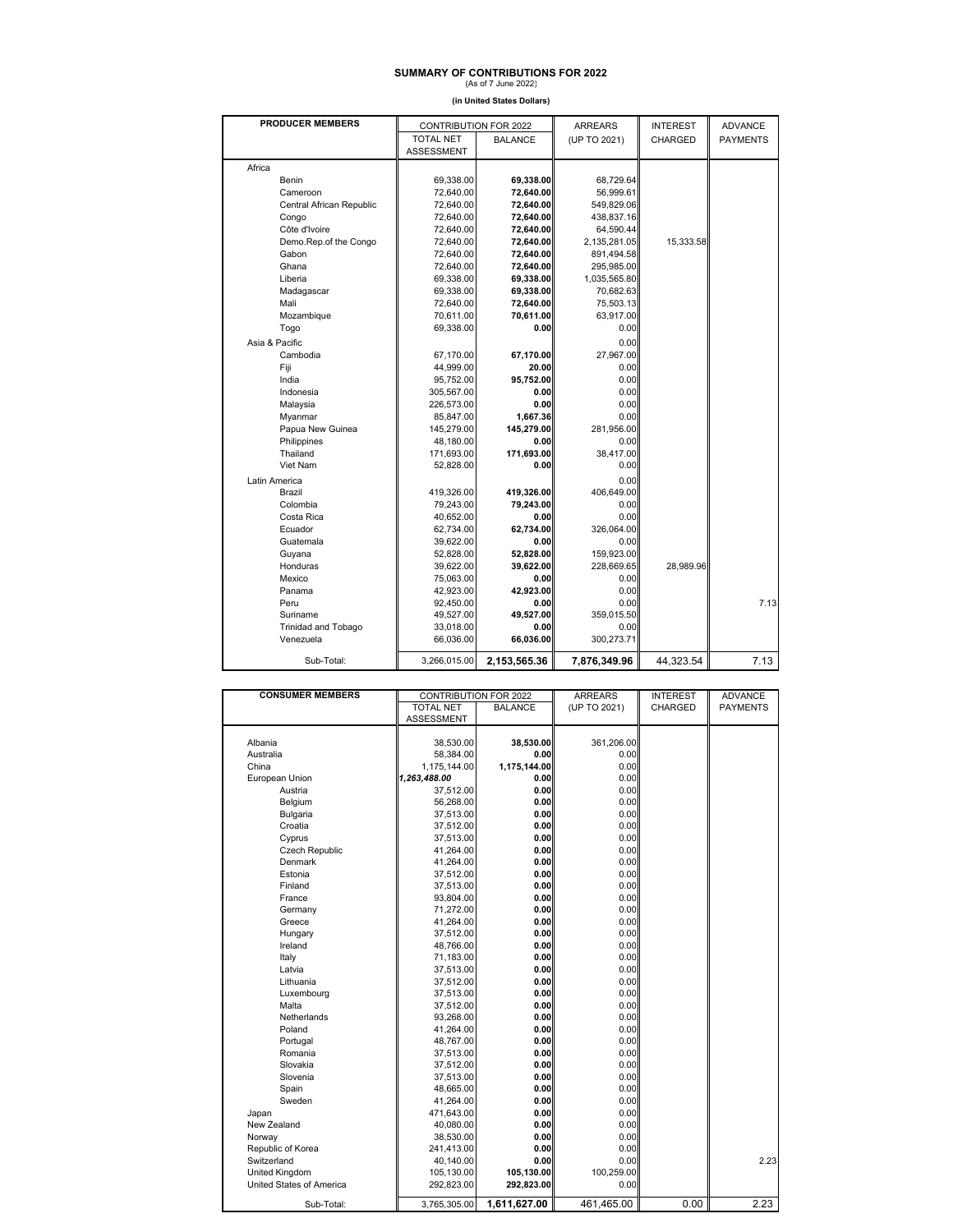## **SUMMARY OF CONTRIBUTIONS FOR 2022**<br>(As of 7 June 2022)

**(in United States Dollars)**

| <b>PRODUCER MEMBERS</b>  | CONTRIBUTION FOR 2022 |                | <b>ARREARS</b> | <b>INTEREST</b> | <b>ADVANCE</b>  |
|--------------------------|-----------------------|----------------|----------------|-----------------|-----------------|
|                          | <b>TOTAL NET</b>      | <b>BALANCE</b> | (UP TO 2021)   | CHARGED         | <b>PAYMENTS</b> |
|                          | <b>ASSESSMENT</b>     |                |                |                 |                 |
| Africa                   |                       |                |                |                 |                 |
| Benin                    | 69.338.00             | 69,338.00      | 68,729.64      |                 |                 |
| Cameroon                 | 72,640.00             | 72,640.00      | 56,999.61      |                 |                 |
| Central African Republic | 72,640.00             | 72,640.00      | 549,829.06     |                 |                 |
| Congo                    | 72,640.00             | 72,640.00      | 438,837.16     |                 |                 |
| Côte d'Ivoire            | 72,640.00             | 72,640.00      | 64,590.44      |                 |                 |
| Demo.Rep.of the Congo    | 72,640.00             | 72,640.00      | 2,135,281.05   | 15,333.58       |                 |
| Gabon                    | 72,640.00             | 72,640.00      | 891,494.58     |                 |                 |
| Ghana                    | 72,640.00             | 72,640.00      | 295,985.00     |                 |                 |
| Liberia                  | 69,338.00             | 69,338.00      | 1,035,565.80   |                 |                 |
| Madagascar               | 69,338.00             | 69,338.00      | 70,682.63      |                 |                 |
| Mali                     | 72,640.00             | 72,640.00      | 75,503.13      |                 |                 |
| Mozambique               | 70,611.00             | 70,611.00      | 63,917.00      |                 |                 |
| Togo                     | 69,338.00             | 0.00           | 0.00           |                 |                 |
| Asia & Pacific           |                       |                | 0.00           |                 |                 |
| Cambodia                 | 67,170.00             | 67,170.00      | 27,967.00      |                 |                 |
| Fiji                     | 44,999.00             | 20.00          | 0.00           |                 |                 |
| India                    | 95,752.00             | 95.752.00      | 0.00           |                 |                 |
| Indonesia                | 305,567.00            | 0.00           | 0.00           |                 |                 |
| Malaysia                 | 226,573.00            | 0.00           | 0.00           |                 |                 |
| Myanmar                  | 85,847.00             | 1,667.36       | 0.00           |                 |                 |
| Papua New Guinea         | 145,279.00            | 145,279.00     | 281,956.00     |                 |                 |
| Philippines              | 48,180.00             | 0.00           | 0.00           |                 |                 |
| Thailand                 | 171,693.00            | 171.693.00     | 38,417.00      |                 |                 |
| Viet Nam                 | 52,828.00             | 0.00           | 0.00           |                 |                 |
| Latin America            |                       |                | 0.00           |                 |                 |
| Brazil                   | 419,326.00            | 419,326.00     | 406,649.00     |                 |                 |
| Colombia                 | 79,243.00             | 79,243.00      | 0.00           |                 |                 |
| Costa Rica               | 40,652.00             | 0.00           | 0.00           |                 |                 |
| Ecuador                  | 62.734.00             | 62.734.00      | 326,064.00     |                 |                 |
| Guatemala                | 39,622.00             | 0.00           | 0.00           |                 |                 |
| Guyana                   | 52,828.00             | 52,828.00      | 159,923.00     |                 |                 |
| Honduras                 | 39,622.00             | 39,622.00      | 228,669.65     | 28,989.96       |                 |
| Mexico                   | 75,063.00             | 0.00           | 0.00           |                 |                 |
| Panama                   | 42.923.00             | 42.923.00      | 0.00           |                 |                 |
| Peru                     | 92,450.00             | 0.00           | 0.00           |                 | 7.13            |
| Suriname                 | 49,527.00             | 49,527.00      | 359,015.50     |                 |                 |
| Trinidad and Tobago      | 33,018.00             | 0.00           | 0.00           |                 |                 |
| Venezuela                | 66,036.00             | 66,036.00      | 300,273.71     |                 |                 |
| Sub-Total:               | 3,266,015.00          | 2,153,565.36   | 7,876,349.96   | 44,323.54       | 7.13            |

| <b>CONSUMER MEMBERS</b>  | CONTRIBUTION FOR 2022 |                | <b>ARREARS</b> | <b>INTEREST</b> | <b>ADVANCE</b>  |
|--------------------------|-----------------------|----------------|----------------|-----------------|-----------------|
|                          | <b>TOTAL NET</b>      | <b>BALANCE</b> | (UP TO 2021)   | CHARGED         | <b>PAYMENTS</b> |
|                          | ASSESSMENT            |                |                |                 |                 |
|                          |                       |                |                |                 |                 |
| Albania                  | 38,530.00             | 38,530.00      | 361,206.00     |                 |                 |
| Australia                | 58,384.00             | 0.00           | 0.00           |                 |                 |
| China                    | 1,175,144.00          | 1,175,144.00   | 0.00           |                 |                 |
| European Union           | 1,263,488.00          | 0.00           | 0.00           |                 |                 |
| Austria                  | 37,512.00             | 0.00           | 0.00           |                 |                 |
| Belgium                  | 56,268.00             | 0.00           | 0.00           |                 |                 |
| Bulgaria                 | 37,513.00             | 0.00           | 0.00           |                 |                 |
| Croatia                  | 37,512.00             | 0.00           | 0.00           |                 |                 |
| Cyprus                   | 37,513.00             | 0.00           | 0.00           |                 |                 |
| Czech Republic           | 41,264.00             | 0.00           | 0.00           |                 |                 |
| Denmark                  | 41,264.00             | 0.00           | 0.00           |                 |                 |
| Estonia                  | 37,512.00             | 0.00           | 0.00           |                 |                 |
| Finland                  | 37,513.00             | 0.00           | 0.00           |                 |                 |
| France                   | 93,804.00             | 0.00           | 0.00           |                 |                 |
| Germany                  | 71,272.00             | 0.00           | 0.00           |                 |                 |
| Greece                   | 41,264.00             | 0.00           | 0.00           |                 |                 |
| Hungary                  | 37,512.00             | 0.00           | 0.00           |                 |                 |
| Ireland                  | 48,766.00             | 0.00           | 0.00           |                 |                 |
| Italy                    | 71,183.00             | 0.00           | 0.00           |                 |                 |
| Latvia                   | 37,513.00             | 0.00           | 0.00           |                 |                 |
| Lithuania                | 37,512.00             | 0.00           | 0.00           |                 |                 |
| Luxembourg               | 37,513.00             | 0.00           | 0.00           |                 |                 |
| Malta                    | 37,512.00             | 0.00           | 0.00           |                 |                 |
| Netherlands              | 93,268.00             | 0.00           | 0.00           |                 |                 |
| Poland                   | 41,264.00             | 0.00           | 0.00           |                 |                 |
| Portugal                 | 48,767.00             | 0.00           | 0.00           |                 |                 |
| Romania                  | 37,513.00             | 0.00           | 0.00           |                 |                 |
| Slovakia                 | 37,512.00             | 0.00           | 0.00           |                 |                 |
| Slovenia                 | 37,513.00             | 0.00           | 0.00           |                 |                 |
| Spain                    | 48,665.00             | 0.00           | 0.00           |                 |                 |
| Sweden                   | 41,264.00             | 0.00           | 0.00           |                 |                 |
| Japan                    | 471,643.00            | 0.00           | 0.00           |                 |                 |
| New Zealand              | 40,080.00             | 0.00           | 0.00           |                 |                 |
| Norway                   | 38,530.00             | 0.00           | 0.00           |                 |                 |
| Republic of Korea        | 241,413.00            | 0.00           | 0.00           |                 |                 |
| Switzerland              | 40,140.00             | 0.00           | 0.00           |                 | 2.23            |
| United Kingdom           | 105,130.00            | 105,130.00     | 100,259.00     |                 |                 |
| United States of America | 292,823.00            | 292,823.00     | 0.00           |                 |                 |
|                          |                       |                |                |                 |                 |
| Sub-Total:               | 3,765,305.00          | 1,611,627.00   | 461,465.00     | 0.00            | 2.23            |